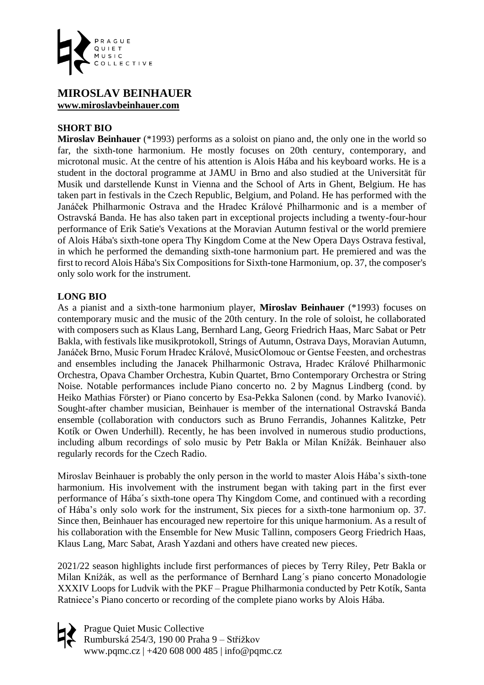

## **MIROSLAV BEINHAUER [www.miroslavbeinhauer.com](http://miroslavbeinhauer.com/?page_id=139&lang=en)**

## **SHORT BIO**

**Miroslav Beinhauer** (\*1993) performs as a soloist on piano and, the only one in the world so far, the sixth-tone harmonium. He mostly focuses on 20th century, contemporary, and microtonal music. At the centre of his attention is Alois Hába and his keyboard works. He is a student in the doctoral programme at JAMU in Brno and also studied at the Universität für Musik und darstellende Kunst in Vienna and the School of Arts in Ghent, Belgium. He has taken part in festivals in the Czech Republic, Belgium, and Poland. He has performed with the Janáček Philharmonic Ostrava and the Hradec Králové Philharmonic and is a member of Ostravská Banda. He has also taken part in exceptional projects including a twenty-four-hour performance of Erik Satie's Vexations at the Moravian Autumn festival or the world premiere of Alois Hába's sixth-tone opera Thy Kingdom Come at the New Opera Days Ostrava festival, in which he performed the demanding sixth-tone harmonium part. He premiered and was the first to record Alois Hába's Six Compositions for Sixth-tone Harmonium, op. 37, the composer's only solo work for the instrument.

## **LONG BIO**

As a pianist and a sixth-tone harmonium player, **Miroslav Beinhauer** (\*1993) focuses on contemporary music and the music of the 20th century. In the role of soloist, he collaborated with composers such as Klaus Lang, Bernhard Lang, Georg Friedrich Haas, Marc Sabat or Petr Bakla, with festivals like musikprotokoll, Strings of Autumn, Ostrava Days, Moravian Autumn, Janáček Brno, Music Forum Hradec Králové, MusicOlomouc or Gentse Feesten, and orchestras and ensembles including the Janacek Philharmonic Ostrava, Hradec Králové Philharmonic Orchestra, Opava Chamber Orchestra, Kubin Quartet, Brno Contemporary Orchestra or String Noise. Notable performances include Piano concerto no. 2 by Magnus Lindberg (cond. by Heiko Mathias Förster) or Piano concerto by Esa-Pekka Salonen (cond. by Marko Ivanović). Sought-after chamber musician, Beinhauer is member of the international Ostravská Banda ensemble (collaboration with conductors such as Bruno Ferrandis, Johannes Kalitzke, Petr Kotík or Owen Underhill). Recently, he has been involved in numerous studio productions, including album recordings of solo music by Petr Bakla or Milan Knížák. Beinhauer also regularly records for the Czech Radio.

Miroslav Beinhauer is probably the only person in the world to master Alois Hába's sixth-tone harmonium. His involvement with the instrument began with taking part in the first ever performance of Hába´s sixth-tone opera Thy Kingdom Come, and continued with a recording of Hába's only solo work for the instrument, Six pieces for a sixth-tone harmonium op. 37. Since then, Beinhauer has encouraged new repertoire for this unique harmonium. As a result of his collaboration with the Ensemble for New Music Tallinn, composers Georg Friedrich Haas, Klaus Lang, Marc Sabat, Arash Yazdani and others have created new pieces.

2021/22 season highlights include first performances of pieces by Terry Riley, Petr Bakla or Milan Knížák, as well as the performance of Bernhard Lang´s piano concerto Monadologie XXXIV Loops for Ludvik with the PKF – Prague Philharmonia conducted by Petr Kotík, Santa Ratniece's Piano concerto or recording of the complete piano works by Alois Hába.

Prague Quiet Music Collective Rumburská 254/3, 190 00 Praha 9 – Střížkov www.pqmc.cz | +420 608 000 485 | info@pqmc.cz